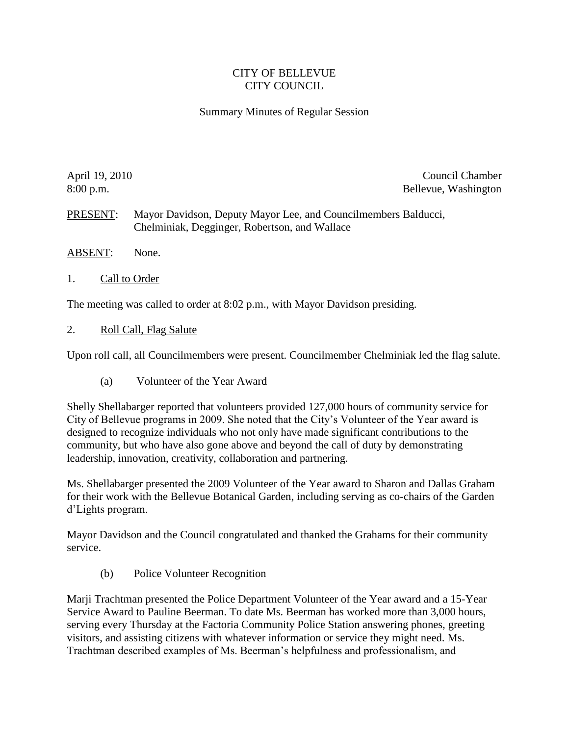## CITY OF BELLEVUE CITY COUNCIL

## Summary Minutes of Regular Session

April 19, 2010 Council Chamber 8:00 p.m. Bellevue, Washington

PRESENT: Mayor Davidson, Deputy Mayor Lee, and Councilmembers Balducci, Chelminiak, Degginger, Robertson, and Wallace

- ABSENT: None.
- 1. Call to Order

The meeting was called to order at 8:02 p.m., with Mayor Davidson presiding.

2. Roll Call, Flag Salute

Upon roll call, all Councilmembers were present. Councilmember Chelminiak led the flag salute.

(a) Volunteer of the Year Award

Shelly Shellabarger reported that volunteers provided 127,000 hours of community service for City of Bellevue programs in 2009. She noted that the City's Volunteer of the Year award is designed to recognize individuals who not only have made significant contributions to the community, but who have also gone above and beyond the call of duty by demonstrating leadership, innovation, creativity, collaboration and partnering.

Ms. Shellabarger presented the 2009 Volunteer of the Year award to Sharon and Dallas Graham for their work with the Bellevue Botanical Garden, including serving as co-chairs of the Garden d'Lights program.

Mayor Davidson and the Council congratulated and thanked the Grahams for their community service.

(b) Police Volunteer Recognition

Marji Trachtman presented the Police Department Volunteer of the Year award and a 15-Year Service Award to Pauline Beerman. To date Ms. Beerman has worked more than 3,000 hours, serving every Thursday at the Factoria Community Police Station answering phones, greeting visitors, and assisting citizens with whatever information or service they might need. Ms. Trachtman described examples of Ms. Beerman's helpfulness and professionalism, and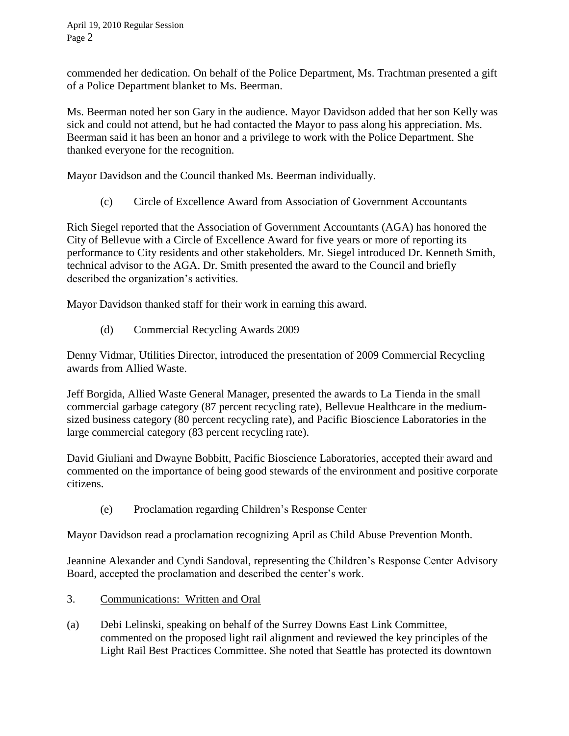commended her dedication. On behalf of the Police Department, Ms. Trachtman presented a gift of a Police Department blanket to Ms. Beerman.

Ms. Beerman noted her son Gary in the audience. Mayor Davidson added that her son Kelly was sick and could not attend, but he had contacted the Mayor to pass along his appreciation. Ms. Beerman said it has been an honor and a privilege to work with the Police Department. She thanked everyone for the recognition.

Mayor Davidson and the Council thanked Ms. Beerman individually.

(c) Circle of Excellence Award from Association of Government Accountants

Rich Siegel reported that the Association of Government Accountants (AGA) has honored the City of Bellevue with a Circle of Excellence Award for five years or more of reporting its performance to City residents and other stakeholders. Mr. Siegel introduced Dr. Kenneth Smith, technical advisor to the AGA. Dr. Smith presented the award to the Council and briefly described the organization's activities.

Mayor Davidson thanked staff for their work in earning this award.

(d) Commercial Recycling Awards 2009

Denny Vidmar, Utilities Director, introduced the presentation of 2009 Commercial Recycling awards from Allied Waste.

Jeff Borgida, Allied Waste General Manager, presented the awards to La Tienda in the small commercial garbage category (87 percent recycling rate), Bellevue Healthcare in the mediumsized business category (80 percent recycling rate), and Pacific Bioscience Laboratories in the large commercial category (83 percent recycling rate).

David Giuliani and Dwayne Bobbitt, Pacific Bioscience Laboratories, accepted their award and commented on the importance of being good stewards of the environment and positive corporate citizens.

(e) Proclamation regarding Children's Response Center

Mayor Davidson read a proclamation recognizing April as Child Abuse Prevention Month.

Jeannine Alexander and Cyndi Sandoval, representing the Children's Response Center Advisory Board, accepted the proclamation and described the center's work.

- 3. Communications: Written and Oral
- (a) Debi Lelinski, speaking on behalf of the Surrey Downs East Link Committee, commented on the proposed light rail alignment and reviewed the key principles of the Light Rail Best Practices Committee. She noted that Seattle has protected its downtown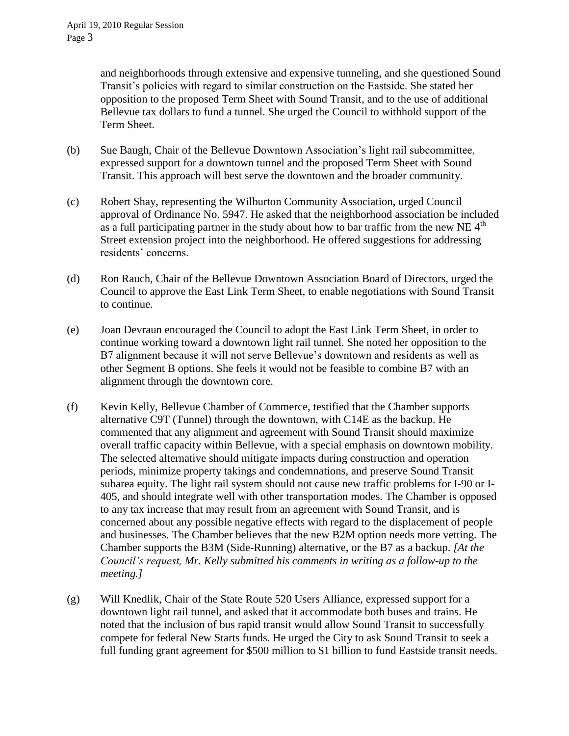and neighborhoods through extensive and expensive tunneling, and she questioned Sound Transit's policies with regard to similar construction on the Eastside. She stated her opposition to the proposed Term Sheet with Sound Transit, and to the use of additional Bellevue tax dollars to fund a tunnel. She urged the Council to withhold support of the Term Sheet.

- (b) Sue Baugh, Chair of the Bellevue Downtown Association's light rail subcommittee, expressed support for a downtown tunnel and the proposed Term Sheet with Sound Transit. This approach will best serve the downtown and the broader community.
- (c) Robert Shay, representing the Wilburton Community Association, urged Council approval of Ordinance No. 5947. He asked that the neighborhood association be included as a full participating partner in the study about how to bar traffic from the new NE  $4<sup>th</sup>$ Street extension project into the neighborhood. He offered suggestions for addressing residents' concerns.
- (d) Ron Rauch, Chair of the Bellevue Downtown Association Board of Directors, urged the Council to approve the East Link Term Sheet, to enable negotiations with Sound Transit to continue.
- (e) Joan Devraun encouraged the Council to adopt the East Link Term Sheet, in order to continue working toward a downtown light rail tunnel. She noted her opposition to the B7 alignment because it will not serve Bellevue's downtown and residents as well as other Segment B options. She feels it would not be feasible to combine B7 with an alignment through the downtown core.
- (f) Kevin Kelly, Bellevue Chamber of Commerce, testified that the Chamber supports alternative C9T (Tunnel) through the downtown, with C14E as the backup. He commented that any alignment and agreement with Sound Transit should maximize overall traffic capacity within Bellevue, with a special emphasis on downtown mobility. The selected alternative should mitigate impacts during construction and operation periods, minimize property takings and condemnations, and preserve Sound Transit subarea equity. The light rail system should not cause new traffic problems for I-90 or I-405, and should integrate well with other transportation modes. The Chamber is opposed to any tax increase that may result from an agreement with Sound Transit, and is concerned about any possible negative effects with regard to the displacement of people and businesses. The Chamber believes that the new B2M option needs more vetting. The Chamber supports the B3M (Side-Running) alternative, or the B7 as a backup. *[At the Council's request, Mr. Kelly submitted his comments in writing as a follow-up to the meeting.]*
- (g) Will Knedlik, Chair of the State Route 520 Users Alliance, expressed support for a downtown light rail tunnel, and asked that it accommodate both buses and trains. He noted that the inclusion of bus rapid transit would allow Sound Transit to successfully compete for federal New Starts funds. He urged the City to ask Sound Transit to seek a full funding grant agreement for \$500 million to \$1 billion to fund Eastside transit needs.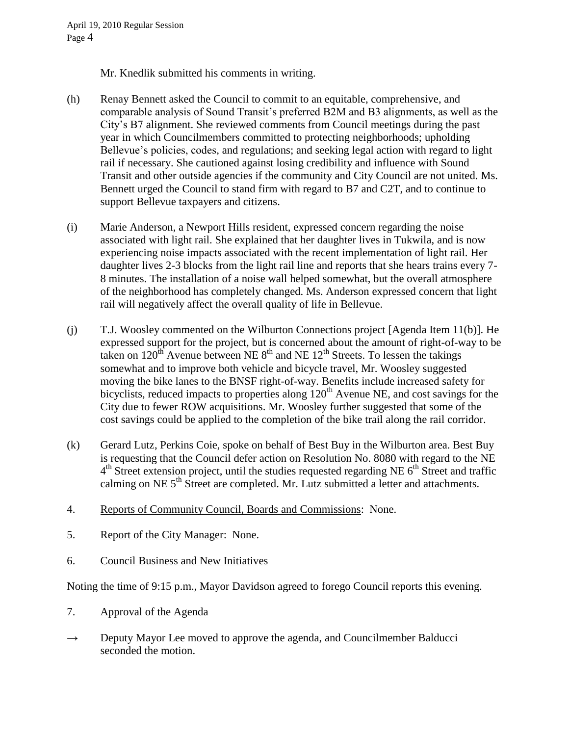Mr. Knedlik submitted his comments in writing.

- (h) Renay Bennett asked the Council to commit to an equitable, comprehensive, and comparable analysis of Sound Transit's preferred B2M and B3 alignments, as well as the City's B7 alignment. She reviewed comments from Council meetings during the past year in which Councilmembers committed to protecting neighborhoods; upholding Bellevue's policies, codes, and regulations; and seeking legal action with regard to light rail if necessary. She cautioned against losing credibility and influence with Sound Transit and other outside agencies if the community and City Council are not united. Ms. Bennett urged the Council to stand firm with regard to B7 and C2T, and to continue to support Bellevue taxpayers and citizens.
- (i) Marie Anderson, a Newport Hills resident, expressed concern regarding the noise associated with light rail. She explained that her daughter lives in Tukwila, and is now experiencing noise impacts associated with the recent implementation of light rail. Her daughter lives 2-3 blocks from the light rail line and reports that she hears trains every 7- 8 minutes. The installation of a noise wall helped somewhat, but the overall atmosphere of the neighborhood has completely changed. Ms. Anderson expressed concern that light rail will negatively affect the overall quality of life in Bellevue.
- (j) T.J. Woosley commented on the Wilburton Connections project [Agenda Item 11(b)]. He expressed support for the project, but is concerned about the amount of right-of-way to be taken on  $120^{th}$  Avenue between NE  $8^{th}$  and NE  $12^{th}$  Streets. To lessen the takings somewhat and to improve both vehicle and bicycle travel, Mr. Woosley suggested moving the bike lanes to the BNSF right-of-way. Benefits include increased safety for bicyclists, reduced impacts to properties along  $120<sup>th</sup>$  Avenue NE, and cost savings for the City due to fewer ROW acquisitions. Mr. Woosley further suggested that some of the cost savings could be applied to the completion of the bike trail along the rail corridor.
- (k) Gerard Lutz, Perkins Coie, spoke on behalf of Best Buy in the Wilburton area. Best Buy is requesting that the Council defer action on Resolution No. 8080 with regard to the NE  $4<sup>th</sup>$  Street extension project, until the studies requested regarding NE  $6<sup>th</sup>$  Street and traffic calming on NE  $5<sup>th</sup>$  Street are completed. Mr. Lutz submitted a letter and attachments.
- 4. Reports of Community Council, Boards and Commissions: None.
- 5. Report of the City Manager: None.
- 6. Council Business and New Initiatives

Noting the time of 9:15 p.m., Mayor Davidson agreed to forego Council reports this evening.

- 7. Approval of the Agenda
- $\rightarrow$  Deputy Mayor Lee moved to approve the agenda, and Councilmember Balducci seconded the motion.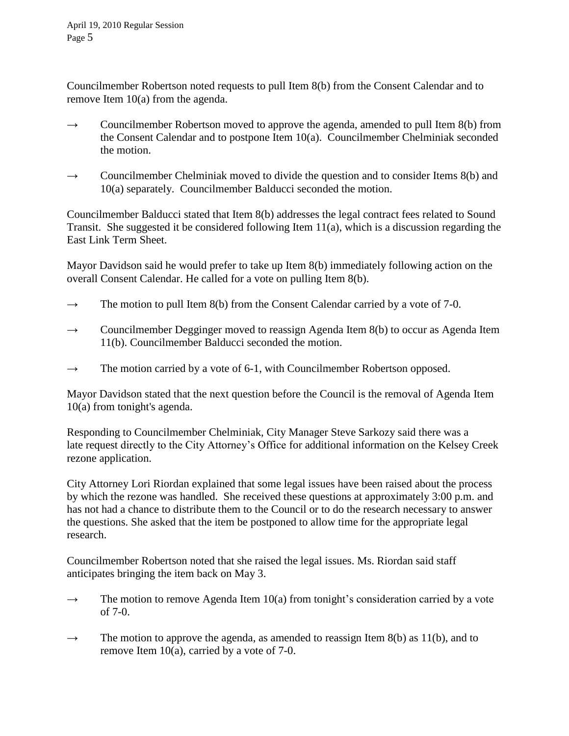Councilmember Robertson noted requests to pull Item 8(b) from the Consent Calendar and to remove Item 10(a) from the agenda.

- $\rightarrow$  Councilmember Robertson moved to approve the agenda, amended to pull Item 8(b) from the Consent Calendar and to postpone Item 10(a). Councilmember Chelminiak seconded the motion.
- $\rightarrow$  Councilmember Chelminiak moved to divide the question and to consider Items 8(b) and 10(a) separately. Councilmember Balducci seconded the motion.

Councilmember Balducci stated that Item 8(b) addresses the legal contract fees related to Sound Transit. She suggested it be considered following Item 11(a), which is a discussion regarding the East Link Term Sheet.

Mayor Davidson said he would prefer to take up Item 8(b) immediately following action on the overall Consent Calendar. He called for a vote on pulling Item 8(b).

- $\rightarrow$  The motion to pull Item 8(b) from the Consent Calendar carried by a vote of 7-0.
- $\rightarrow$  Councilmember Degginger moved to reassign Agenda Item 8(b) to occur as Agenda Item 11(b). Councilmember Balducci seconded the motion.
- $\rightarrow$  The motion carried by a vote of 6-1, with Councilmember Robertson opposed.

Mayor Davidson stated that the next question before the Council is the removal of Agenda Item 10(a) from tonight's agenda.

Responding to Councilmember Chelminiak, City Manager Steve Sarkozy said there was a late request directly to the City Attorney's Office for additional information on the Kelsey Creek rezone application.

City Attorney Lori Riordan explained that some legal issues have been raised about the process by which the rezone was handled. She received these questions at approximately 3:00 p.m. and has not had a chance to distribute them to the Council or to do the research necessary to answer the questions. She asked that the item be postponed to allow time for the appropriate legal research.

Councilmember Robertson noted that she raised the legal issues. Ms. Riordan said staff anticipates bringing the item back on May 3.

- $\rightarrow$  The motion to remove Agenda Item 10(a) from tonight's consideration carried by a vote of 7-0.
- $\rightarrow$  The motion to approve the agenda, as amended to reassign Item 8(b) as 11(b), and to remove Item 10(a), carried by a vote of 7-0.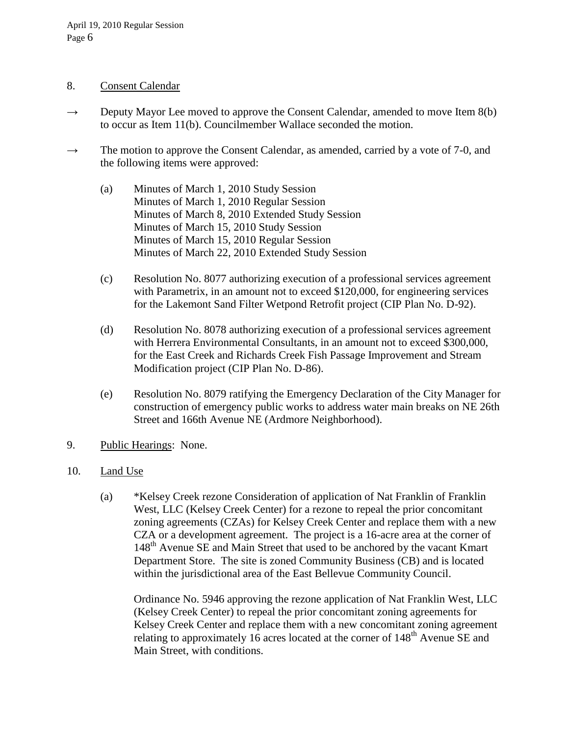## 8. Consent Calendar

- $\rightarrow$  Deputy Mayor Lee moved to approve the Consent Calendar, amended to move Item 8(b) to occur as Item 11(b). Councilmember Wallace seconded the motion.
- $\rightarrow$  The motion to approve the Consent Calendar, as amended, carried by a vote of 7-0, and the following items were approved:
	- (a) Minutes of March 1, 2010 Study Session Minutes of March 1, 2010 Regular Session Minutes of March 8, 2010 Extended Study Session Minutes of March 15, 2010 Study Session Minutes of March 15, 2010 Regular Session Minutes of March 22, 2010 Extended Study Session
	- (c) Resolution No. 8077 authorizing execution of a professional services agreement with Parametrix, in an amount not to exceed \$120,000, for engineering services for the Lakemont Sand Filter Wetpond Retrofit project (CIP Plan No. D-92).
	- (d) Resolution No. 8078 authorizing execution of a professional services agreement with Herrera Environmental Consultants, in an amount not to exceed \$300,000, for the East Creek and Richards Creek Fish Passage Improvement and Stream Modification project (CIP Plan No. D-86).
	- (e) Resolution No. 8079 ratifying the Emergency Declaration of the City Manager for construction of emergency public works to address water main breaks on NE 26th Street and 166th Avenue NE (Ardmore Neighborhood).
- 9. Public Hearings: None.
- 10. Land Use
	- (a) \*Kelsey Creek rezone Consideration of application of Nat Franklin of Franklin West, LLC (Kelsey Creek Center) for a rezone to repeal the prior concomitant zoning agreements (CZAs) for Kelsey Creek Center and replace them with a new CZA or a development agreement. The project is a 16-acre area at the corner of 148<sup>th</sup> Avenue SE and Main Street that used to be anchored by the vacant Kmart Department Store. The site is zoned Community Business (CB) and is located within the jurisdictional area of the East Bellevue Community Council.

Ordinance No. 5946 approving the rezone application of Nat Franklin West, LLC (Kelsey Creek Center) to repeal the prior concomitant zoning agreements for Kelsey Creek Center and replace them with a new concomitant zoning agreement relating to approximately 16 acres located at the corner of  $148<sup>th</sup>$  Avenue SE and Main Street, with conditions.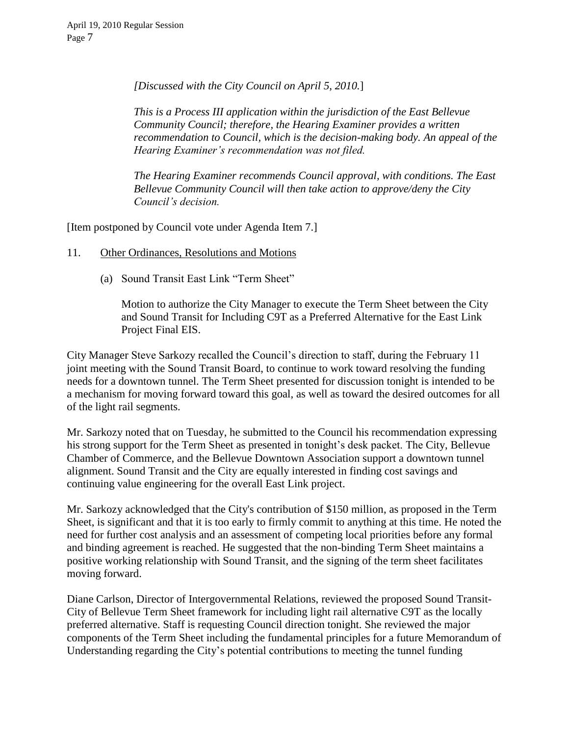*[Discussed with the City Council on April 5, 2010.*]

*This is a Process III application within the jurisdiction of the East Bellevue Community Council; therefore, the Hearing Examiner provides a written recommendation to Council, which is the decision-making body. An appeal of the Hearing Examiner's recommendation was not filed.*

*The Hearing Examiner recommends Council approval, with conditions. The East Bellevue Community Council will then take action to approve/deny the City Council's decision.*

[Item postponed by Council vote under Agenda Item 7.]

- 11. Other Ordinances, Resolutions and Motions
	- (a) Sound Transit East Link "Term Sheet"

Motion to authorize the City Manager to execute the Term Sheet between the City and Sound Transit for Including C9T as a Preferred Alternative for the East Link Project Final EIS.

City Manager Steve Sarkozy recalled the Council's direction to staff, during the February 11 joint meeting with the Sound Transit Board, to continue to work toward resolving the funding needs for a downtown tunnel. The Term Sheet presented for discussion tonight is intended to be a mechanism for moving forward toward this goal, as well as toward the desired outcomes for all of the light rail segments.

Mr. Sarkozy noted that on Tuesday, he submitted to the Council his recommendation expressing his strong support for the Term Sheet as presented in tonight's desk packet. The City, Bellevue Chamber of Commerce, and the Bellevue Downtown Association support a downtown tunnel alignment. Sound Transit and the City are equally interested in finding cost savings and continuing value engineering for the overall East Link project.

Mr. Sarkozy acknowledged that the City's contribution of \$150 million, as proposed in the Term Sheet, is significant and that it is too early to firmly commit to anything at this time. He noted the need for further cost analysis and an assessment of competing local priorities before any formal and binding agreement is reached. He suggested that the non-binding Term Sheet maintains a positive working relationship with Sound Transit, and the signing of the term sheet facilitates moving forward.

Diane Carlson, Director of Intergovernmental Relations, reviewed the proposed Sound Transit-City of Bellevue Term Sheet framework for including light rail alternative C9T as the locally preferred alternative. Staff is requesting Council direction tonight. She reviewed the major components of the Term Sheet including the fundamental principles for a future Memorandum of Understanding regarding the City's potential contributions to meeting the tunnel funding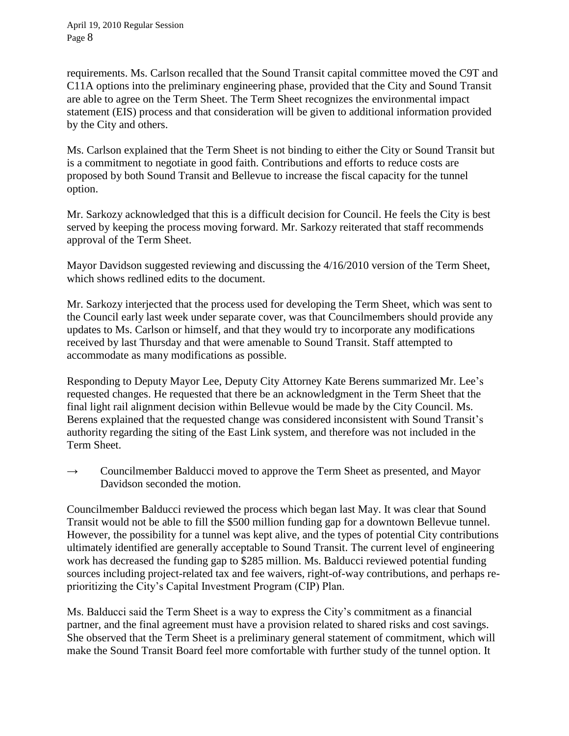requirements. Ms. Carlson recalled that the Sound Transit capital committee moved the C9T and C11A options into the preliminary engineering phase, provided that the City and Sound Transit are able to agree on the Term Sheet. The Term Sheet recognizes the environmental impact statement (EIS) process and that consideration will be given to additional information provided by the City and others.

Ms. Carlson explained that the Term Sheet is not binding to either the City or Sound Transit but is a commitment to negotiate in good faith. Contributions and efforts to reduce costs are proposed by both Sound Transit and Bellevue to increase the fiscal capacity for the tunnel option.

Mr. Sarkozy acknowledged that this is a difficult decision for Council. He feels the City is best served by keeping the process moving forward. Mr. Sarkozy reiterated that staff recommends approval of the Term Sheet.

Mayor Davidson suggested reviewing and discussing the 4/16/2010 version of the Term Sheet, which shows redlined edits to the document.

Mr. Sarkozy interjected that the process used for developing the Term Sheet, which was sent to the Council early last week under separate cover, was that Councilmembers should provide any updates to Ms. Carlson or himself, and that they would try to incorporate any modifications received by last Thursday and that were amenable to Sound Transit. Staff attempted to accommodate as many modifications as possible.

Responding to Deputy Mayor Lee, Deputy City Attorney Kate Berens summarized Mr. Lee's requested changes. He requested that there be an acknowledgment in the Term Sheet that the final light rail alignment decision within Bellevue would be made by the City Council. Ms. Berens explained that the requested change was considered inconsistent with Sound Transit's authority regarding the siting of the East Link system, and therefore was not included in the Term Sheet.

 $\rightarrow$  Councilmember Balducci moved to approve the Term Sheet as presented, and Mayor Davidson seconded the motion.

Councilmember Balducci reviewed the process which began last May. It was clear that Sound Transit would not be able to fill the \$500 million funding gap for a downtown Bellevue tunnel. However, the possibility for a tunnel was kept alive, and the types of potential City contributions ultimately identified are generally acceptable to Sound Transit. The current level of engineering work has decreased the funding gap to \$285 million. Ms. Balducci reviewed potential funding sources including project-related tax and fee waivers, right-of-way contributions, and perhaps reprioritizing the City's Capital Investment Program (CIP) Plan.

Ms. Balducci said the Term Sheet is a way to express the City's commitment as a financial partner, and the final agreement must have a provision related to shared risks and cost savings. She observed that the Term Sheet is a preliminary general statement of commitment, which will make the Sound Transit Board feel more comfortable with further study of the tunnel option. It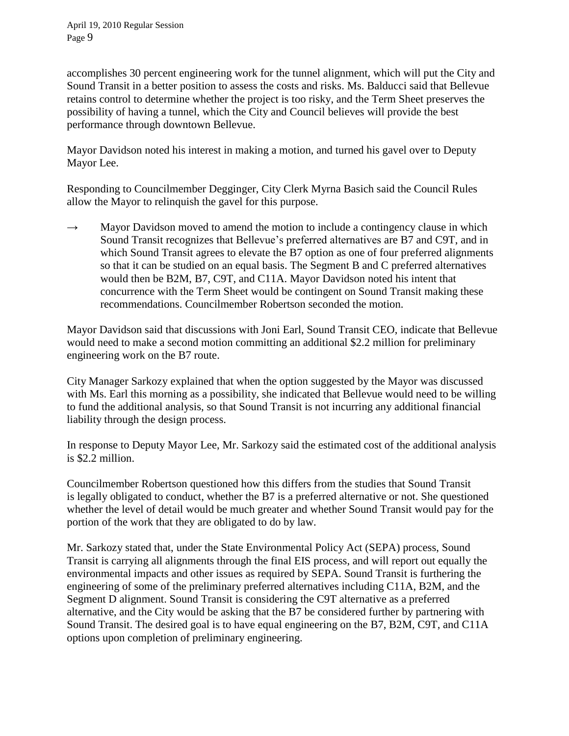accomplishes 30 percent engineering work for the tunnel alignment, which will put the City and Sound Transit in a better position to assess the costs and risks. Ms. Balducci said that Bellevue retains control to determine whether the project is too risky, and the Term Sheet preserves the possibility of having a tunnel, which the City and Council believes will provide the best performance through downtown Bellevue.

Mayor Davidson noted his interest in making a motion, and turned his gavel over to Deputy Mayor Lee.

Responding to Councilmember Degginger, City Clerk Myrna Basich said the Council Rules allow the Mayor to relinquish the gavel for this purpose.

 $\rightarrow$  Mayor Davidson moved to amend the motion to include a contingency clause in which Sound Transit recognizes that Bellevue's preferred alternatives are B7 and C9T, and in which Sound Transit agrees to elevate the B7 option as one of four preferred alignments so that it can be studied on an equal basis. The Segment B and C preferred alternatives would then be B2M, B7, C9T, and C11A. Mayor Davidson noted his intent that concurrence with the Term Sheet would be contingent on Sound Transit making these recommendations. Councilmember Robertson seconded the motion.

Mayor Davidson said that discussions with Joni Earl, Sound Transit CEO, indicate that Bellevue would need to make a second motion committing an additional \$2.2 million for preliminary engineering work on the B7 route.

City Manager Sarkozy explained that when the option suggested by the Mayor was discussed with Ms. Earl this morning as a possibility, she indicated that Bellevue would need to be willing to fund the additional analysis, so that Sound Transit is not incurring any additional financial liability through the design process.

In response to Deputy Mayor Lee, Mr. Sarkozy said the estimated cost of the additional analysis is \$2.2 million.

Councilmember Robertson questioned how this differs from the studies that Sound Transit is legally obligated to conduct, whether the B7 is a preferred alternative or not. She questioned whether the level of detail would be much greater and whether Sound Transit would pay for the portion of the work that they are obligated to do by law.

Mr. Sarkozy stated that, under the State Environmental Policy Act (SEPA) process, Sound Transit is carrying all alignments through the final EIS process, and will report out equally the environmental impacts and other issues as required by SEPA. Sound Transit is furthering the engineering of some of the preliminary preferred alternatives including C11A, B2M, and the Segment D alignment. Sound Transit is considering the C9T alternative as a preferred alternative, and the City would be asking that the B7 be considered further by partnering with Sound Transit. The desired goal is to have equal engineering on the B7, B2M, C9T, and C11A options upon completion of preliminary engineering.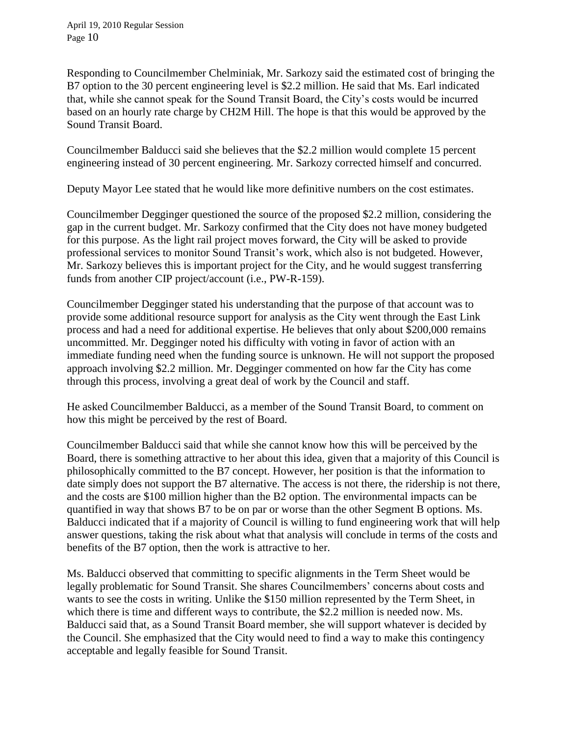Responding to Councilmember Chelminiak, Mr. Sarkozy said the estimated cost of bringing the B7 option to the 30 percent engineering level is \$2.2 million. He said that Ms. Earl indicated that, while she cannot speak for the Sound Transit Board, the City's costs would be incurred based on an hourly rate charge by CH2M Hill. The hope is that this would be approved by the Sound Transit Board.

Councilmember Balducci said she believes that the \$2.2 million would complete 15 percent engineering instead of 30 percent engineering. Mr. Sarkozy corrected himself and concurred.

Deputy Mayor Lee stated that he would like more definitive numbers on the cost estimates.

Councilmember Degginger questioned the source of the proposed \$2.2 million, considering the gap in the current budget. Mr. Sarkozy confirmed that the City does not have money budgeted for this purpose. As the light rail project moves forward, the City will be asked to provide professional services to monitor Sound Transit's work, which also is not budgeted. However, Mr. Sarkozy believes this is important project for the City, and he would suggest transferring funds from another CIP project/account (i.e., PW-R-159).

Councilmember Degginger stated his understanding that the purpose of that account was to provide some additional resource support for analysis as the City went through the East Link process and had a need for additional expertise. He believes that only about \$200,000 remains uncommitted. Mr. Degginger noted his difficulty with voting in favor of action with an immediate funding need when the funding source is unknown. He will not support the proposed approach involving \$2.2 million. Mr. Degginger commented on how far the City has come through this process, involving a great deal of work by the Council and staff.

He asked Councilmember Balducci, as a member of the Sound Transit Board, to comment on how this might be perceived by the rest of Board.

Councilmember Balducci said that while she cannot know how this will be perceived by the Board, there is something attractive to her about this idea, given that a majority of this Council is philosophically committed to the B7 concept. However, her position is that the information to date simply does not support the B7 alternative. The access is not there, the ridership is not there, and the costs are \$100 million higher than the B2 option. The environmental impacts can be quantified in way that shows B7 to be on par or worse than the other Segment B options. Ms. Balducci indicated that if a majority of Council is willing to fund engineering work that will help answer questions, taking the risk about what that analysis will conclude in terms of the costs and benefits of the B7 option, then the work is attractive to her.

Ms. Balducci observed that committing to specific alignments in the Term Sheet would be legally problematic for Sound Transit. She shares Councilmembers' concerns about costs and wants to see the costs in writing. Unlike the \$150 million represented by the Term Sheet, in which there is time and different ways to contribute, the \$2.2 million is needed now. Ms. Balducci said that, as a Sound Transit Board member, she will support whatever is decided by the Council. She emphasized that the City would need to find a way to make this contingency acceptable and legally feasible for Sound Transit.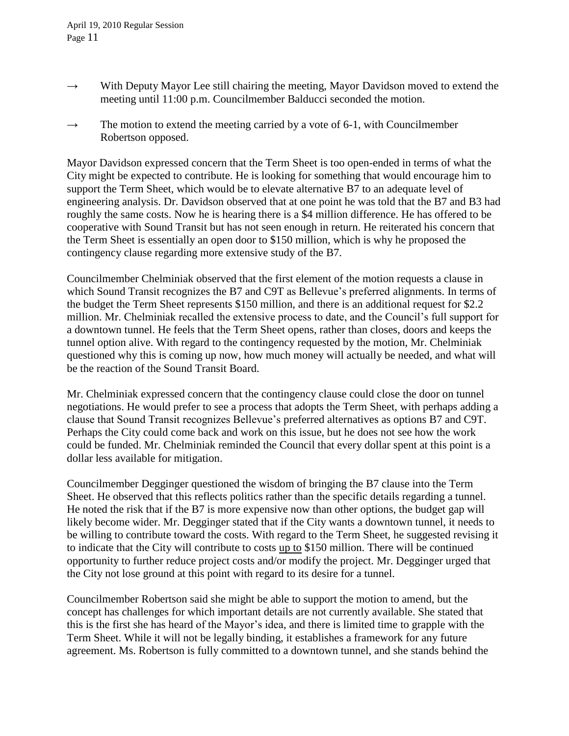- $\rightarrow$  With Deputy Mayor Lee still chairing the meeting, Mayor Davidson moved to extend the meeting until 11:00 p.m. Councilmember Balducci seconded the motion.
- $\rightarrow$  The motion to extend the meeting carried by a vote of 6-1, with Councilmember Robertson opposed.

Mayor Davidson expressed concern that the Term Sheet is too open-ended in terms of what the City might be expected to contribute. He is looking for something that would encourage him to support the Term Sheet, which would be to elevate alternative B7 to an adequate level of engineering analysis. Dr. Davidson observed that at one point he was told that the B7 and B3 had roughly the same costs. Now he is hearing there is a \$4 million difference. He has offered to be cooperative with Sound Transit but has not seen enough in return. He reiterated his concern that the Term Sheet is essentially an open door to \$150 million, which is why he proposed the contingency clause regarding more extensive study of the B7.

Councilmember Chelminiak observed that the first element of the motion requests a clause in which Sound Transit recognizes the B7 and C9T as Bellevue's preferred alignments. In terms of the budget the Term Sheet represents \$150 million, and there is an additional request for \$2.2 million. Mr. Chelminiak recalled the extensive process to date, and the Council's full support for a downtown tunnel. He feels that the Term Sheet opens, rather than closes, doors and keeps the tunnel option alive. With regard to the contingency requested by the motion, Mr. Chelminiak questioned why this is coming up now, how much money will actually be needed, and what will be the reaction of the Sound Transit Board.

Mr. Chelminiak expressed concern that the contingency clause could close the door on tunnel negotiations. He would prefer to see a process that adopts the Term Sheet, with perhaps adding a clause that Sound Transit recognizes Bellevue's preferred alternatives as options B7 and C9T. Perhaps the City could come back and work on this issue, but he does not see how the work could be funded. Mr. Chelminiak reminded the Council that every dollar spent at this point is a dollar less available for mitigation.

Councilmember Degginger questioned the wisdom of bringing the B7 clause into the Term Sheet. He observed that this reflects politics rather than the specific details regarding a tunnel. He noted the risk that if the B7 is more expensive now than other options, the budget gap will likely become wider. Mr. Degginger stated that if the City wants a downtown tunnel, it needs to be willing to contribute toward the costs. With regard to the Term Sheet, he suggested revising it to indicate that the City will contribute to costs up to \$150 million. There will be continued opportunity to further reduce project costs and/or modify the project. Mr. Degginger urged that the City not lose ground at this point with regard to its desire for a tunnel.

Councilmember Robertson said she might be able to support the motion to amend, but the concept has challenges for which important details are not currently available. She stated that this is the first she has heard of the Mayor's idea, and there is limited time to grapple with the Term Sheet. While it will not be legally binding, it establishes a framework for any future agreement. Ms. Robertson is fully committed to a downtown tunnel, and she stands behind the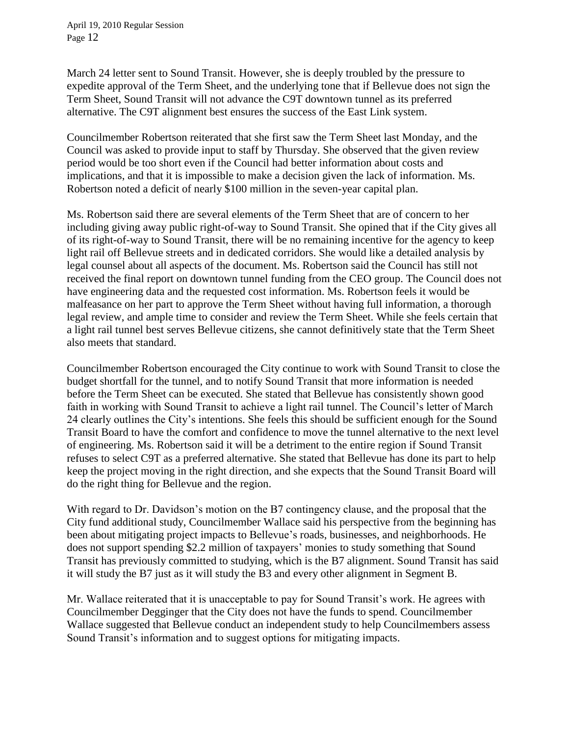March 24 letter sent to Sound Transit. However, she is deeply troubled by the pressure to expedite approval of the Term Sheet, and the underlying tone that if Bellevue does not sign the Term Sheet, Sound Transit will not advance the C9T downtown tunnel as its preferred alternative. The C9T alignment best ensures the success of the East Link system.

Councilmember Robertson reiterated that she first saw the Term Sheet last Monday, and the Council was asked to provide input to staff by Thursday. She observed that the given review period would be too short even if the Council had better information about costs and implications, and that it is impossible to make a decision given the lack of information. Ms. Robertson noted a deficit of nearly \$100 million in the seven-year capital plan.

Ms. Robertson said there are several elements of the Term Sheet that are of concern to her including giving away public right-of-way to Sound Transit. She opined that if the City gives all of its right-of-way to Sound Transit, there will be no remaining incentive for the agency to keep light rail off Bellevue streets and in dedicated corridors. She would like a detailed analysis by legal counsel about all aspects of the document. Ms. Robertson said the Council has still not received the final report on downtown tunnel funding from the CEO group. The Council does not have engineering data and the requested cost information. Ms. Robertson feels it would be malfeasance on her part to approve the Term Sheet without having full information, a thorough legal review, and ample time to consider and review the Term Sheet. While she feels certain that a light rail tunnel best serves Bellevue citizens, she cannot definitively state that the Term Sheet also meets that standard.

Councilmember Robertson encouraged the City continue to work with Sound Transit to close the budget shortfall for the tunnel, and to notify Sound Transit that more information is needed before the Term Sheet can be executed. She stated that Bellevue has consistently shown good faith in working with Sound Transit to achieve a light rail tunnel. The Council's letter of March 24 clearly outlines the City's intentions. She feels this should be sufficient enough for the Sound Transit Board to have the comfort and confidence to move the tunnel alternative to the next level of engineering. Ms. Robertson said it will be a detriment to the entire region if Sound Transit refuses to select C9T as a preferred alternative. She stated that Bellevue has done its part to help keep the project moving in the right direction, and she expects that the Sound Transit Board will do the right thing for Bellevue and the region.

With regard to Dr. Davidson's motion on the B7 contingency clause, and the proposal that the City fund additional study, Councilmember Wallace said his perspective from the beginning has been about mitigating project impacts to Bellevue's roads, businesses, and neighborhoods. He does not support spending \$2.2 million of taxpayers' monies to study something that Sound Transit has previously committed to studying, which is the B7 alignment. Sound Transit has said it will study the B7 just as it will study the B3 and every other alignment in Segment B.

Mr. Wallace reiterated that it is unacceptable to pay for Sound Transit's work. He agrees with Councilmember Degginger that the City does not have the funds to spend. Councilmember Wallace suggested that Bellevue conduct an independent study to help Councilmembers assess Sound Transit's information and to suggest options for mitigating impacts.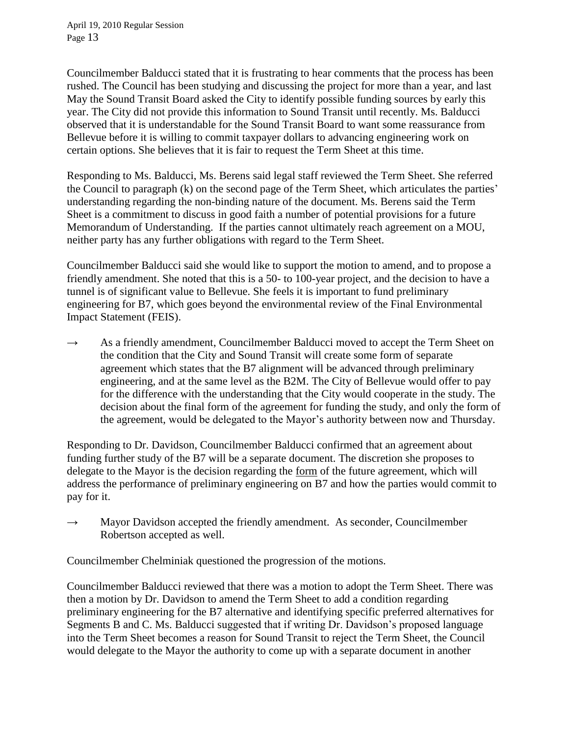Councilmember Balducci stated that it is frustrating to hear comments that the process has been rushed. The Council has been studying and discussing the project for more than a year, and last May the Sound Transit Board asked the City to identify possible funding sources by early this year. The City did not provide this information to Sound Transit until recently. Ms. Balducci observed that it is understandable for the Sound Transit Board to want some reassurance from Bellevue before it is willing to commit taxpayer dollars to advancing engineering work on certain options. She believes that it is fair to request the Term Sheet at this time.

Responding to Ms. Balducci, Ms. Berens said legal staff reviewed the Term Sheet. She referred the Council to paragraph (k) on the second page of the Term Sheet, which articulates the parties' understanding regarding the non-binding nature of the document. Ms. Berens said the Term Sheet is a commitment to discuss in good faith a number of potential provisions for a future Memorandum of Understanding. If the parties cannot ultimately reach agreement on a MOU, neither party has any further obligations with regard to the Term Sheet.

Councilmember Balducci said she would like to support the motion to amend, and to propose a friendly amendment. She noted that this is a 50- to 100-year project, and the decision to have a tunnel is of significant value to Bellevue. She feels it is important to fund preliminary engineering for B7, which goes beyond the environmental review of the Final Environmental Impact Statement (FEIS).

 $\rightarrow$  As a friendly amendment, Councilmember Balducci moved to accept the Term Sheet on the condition that the City and Sound Transit will create some form of separate agreement which states that the B7 alignment will be advanced through preliminary engineering, and at the same level as the B2M. The City of Bellevue would offer to pay for the difference with the understanding that the City would cooperate in the study. The decision about the final form of the agreement for funding the study, and only the form of the agreement, would be delegated to the Mayor's authority between now and Thursday.

Responding to Dr. Davidson, Councilmember Balducci confirmed that an agreement about funding further study of the B7 will be a separate document. The discretion she proposes to delegate to the Mayor is the decision regarding the form of the future agreement, which will address the performance of preliminary engineering on B7 and how the parties would commit to pay for it.

 $\rightarrow$  Mayor Davidson accepted the friendly amendment. As seconder, Councilmember Robertson accepted as well.

Councilmember Chelminiak questioned the progression of the motions.

Councilmember Balducci reviewed that there was a motion to adopt the Term Sheet. There was then a motion by Dr. Davidson to amend the Term Sheet to add a condition regarding preliminary engineering for the B7 alternative and identifying specific preferred alternatives for Segments B and C. Ms. Balducci suggested that if writing Dr. Davidson's proposed language into the Term Sheet becomes a reason for Sound Transit to reject the Term Sheet, the Council would delegate to the Mayor the authority to come up with a separate document in another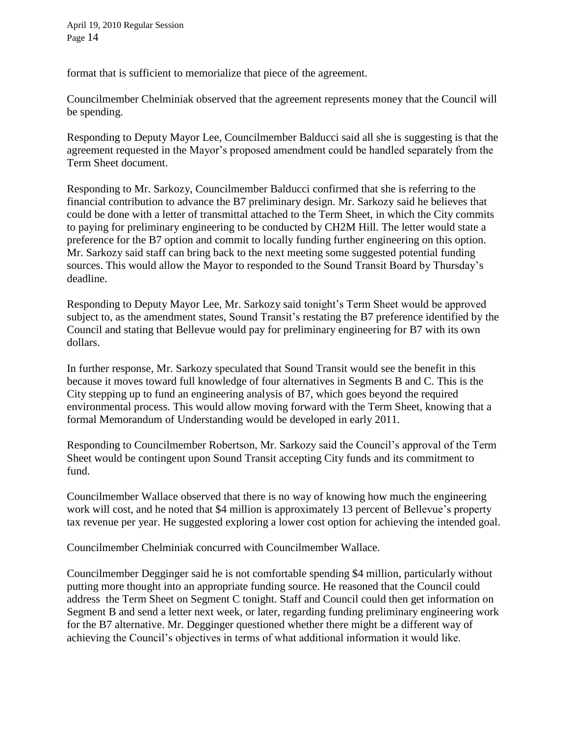format that is sufficient to memorialize that piece of the agreement.

Councilmember Chelminiak observed that the agreement represents money that the Council will be spending.

Responding to Deputy Mayor Lee, Councilmember Balducci said all she is suggesting is that the agreement requested in the Mayor's proposed amendment could be handled separately from the Term Sheet document.

Responding to Mr. Sarkozy, Councilmember Balducci confirmed that she is referring to the financial contribution to advance the B7 preliminary design. Mr. Sarkozy said he believes that could be done with a letter of transmittal attached to the Term Sheet, in which the City commits to paying for preliminary engineering to be conducted by CH2M Hill. The letter would state a preference for the B7 option and commit to locally funding further engineering on this option. Mr. Sarkozy said staff can bring back to the next meeting some suggested potential funding sources. This would allow the Mayor to responded to the Sound Transit Board by Thursday's deadline.

Responding to Deputy Mayor Lee, Mr. Sarkozy said tonight's Term Sheet would be approved subject to, as the amendment states, Sound Transit's restating the B7 preference identified by the Council and stating that Bellevue would pay for preliminary engineering for B7 with its own dollars.

In further response, Mr. Sarkozy speculated that Sound Transit would see the benefit in this because it moves toward full knowledge of four alternatives in Segments B and C. This is the City stepping up to fund an engineering analysis of B7, which goes beyond the required environmental process. This would allow moving forward with the Term Sheet, knowing that a formal Memorandum of Understanding would be developed in early 2011.

Responding to Councilmember Robertson, Mr. Sarkozy said the Council's approval of the Term Sheet would be contingent upon Sound Transit accepting City funds and its commitment to fund.

Councilmember Wallace observed that there is no way of knowing how much the engineering work will cost, and he noted that \$4 million is approximately 13 percent of Bellevue's property tax revenue per year. He suggested exploring a lower cost option for achieving the intended goal.

Councilmember Chelminiak concurred with Councilmember Wallace.

Councilmember Degginger said he is not comfortable spending \$4 million, particularly without putting more thought into an appropriate funding source. He reasoned that the Council could address the Term Sheet on Segment C tonight. Staff and Council could then get information on Segment B and send a letter next week, or later, regarding funding preliminary engineering work for the B7 alternative. Mr. Degginger questioned whether there might be a different way of achieving the Council's objectives in terms of what additional information it would like.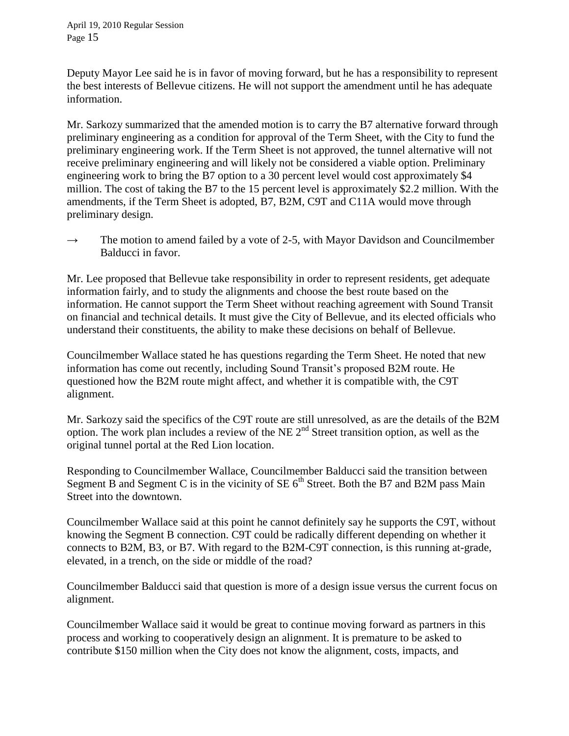Deputy Mayor Lee said he is in favor of moving forward, but he has a responsibility to represent the best interests of Bellevue citizens. He will not support the amendment until he has adequate information.

Mr. Sarkozy summarized that the amended motion is to carry the B7 alternative forward through preliminary engineering as a condition for approval of the Term Sheet, with the City to fund the preliminary engineering work. If the Term Sheet is not approved, the tunnel alternative will not receive preliminary engineering and will likely not be considered a viable option. Preliminary engineering work to bring the B7 option to a 30 percent level would cost approximately \$4 million. The cost of taking the B7 to the 15 percent level is approximately \$2.2 million. With the amendments, if the Term Sheet is adopted, B7, B2M, C9T and C11A would move through preliminary design.

 $\rightarrow$  The motion to amend failed by a vote of 2-5, with Mayor Davidson and Councilmember Balducci in favor.

Mr. Lee proposed that Bellevue take responsibility in order to represent residents, get adequate information fairly, and to study the alignments and choose the best route based on the information. He cannot support the Term Sheet without reaching agreement with Sound Transit on financial and technical details. It must give the City of Bellevue, and its elected officials who understand their constituents, the ability to make these decisions on behalf of Bellevue.

Councilmember Wallace stated he has questions regarding the Term Sheet. He noted that new information has come out recently, including Sound Transit's proposed B2M route. He questioned how the B2M route might affect, and whether it is compatible with, the C9T alignment.

Mr. Sarkozy said the specifics of the C9T route are still unresolved, as are the details of the B2M option. The work plan includes a review of the NE  $2<sup>nd</sup>$  Street transition option, as well as the original tunnel portal at the Red Lion location.

Responding to Councilmember Wallace, Councilmember Balducci said the transition between Segment B and Segment C is in the vicinity of SE  $6<sup>th</sup>$  Street. Both the B7 and B2M pass Main Street into the downtown.

Councilmember Wallace said at this point he cannot definitely say he supports the C9T, without knowing the Segment B connection. C9T could be radically different depending on whether it connects to B2M, B3, or B7. With regard to the B2M-C9T connection, is this running at-grade, elevated, in a trench, on the side or middle of the road?

Councilmember Balducci said that question is more of a design issue versus the current focus on alignment.

Councilmember Wallace said it would be great to continue moving forward as partners in this process and working to cooperatively design an alignment. It is premature to be asked to contribute \$150 million when the City does not know the alignment, costs, impacts, and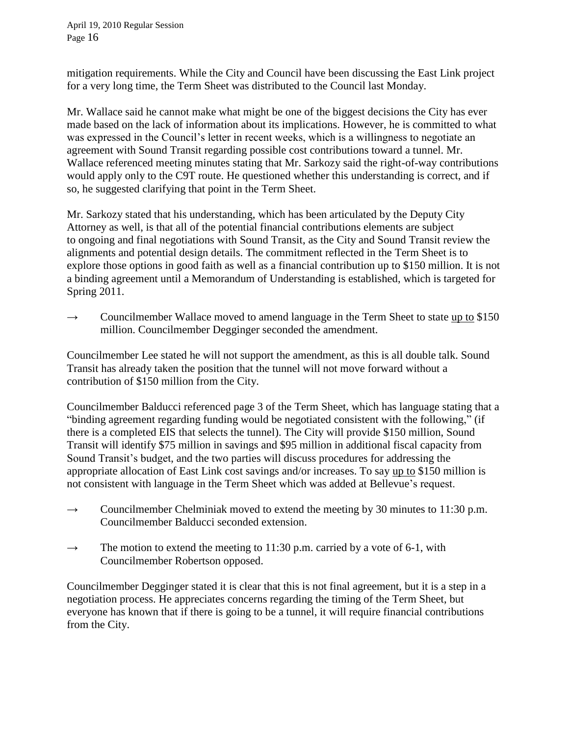mitigation requirements. While the City and Council have been discussing the East Link project for a very long time, the Term Sheet was distributed to the Council last Monday.

Mr. Wallace said he cannot make what might be one of the biggest decisions the City has ever made based on the lack of information about its implications. However, he is committed to what was expressed in the Council's letter in recent weeks, which is a willingness to negotiate an agreement with Sound Transit regarding possible cost contributions toward a tunnel. Mr. Wallace referenced meeting minutes stating that Mr. Sarkozy said the right-of-way contributions would apply only to the C9T route. He questioned whether this understanding is correct, and if so, he suggested clarifying that point in the Term Sheet.

Mr. Sarkozy stated that his understanding, which has been articulated by the Deputy City Attorney as well, is that all of the potential financial contributions elements are subject to ongoing and final negotiations with Sound Transit, as the City and Sound Transit review the alignments and potential design details. The commitment reflected in the Term Sheet is to explore those options in good faith as well as a financial contribution up to \$150 million. It is not a binding agreement until a Memorandum of Understanding is established, which is targeted for Spring 2011.

 $\rightarrow$  Councilmember Wallace moved to amend language in the Term Sheet to state up to \$150 million. Councilmember Degginger seconded the amendment.

Councilmember Lee stated he will not support the amendment, as this is all double talk. Sound Transit has already taken the position that the tunnel will not move forward without a contribution of \$150 million from the City.

Councilmember Balducci referenced page 3 of the Term Sheet, which has language stating that a "binding agreement regarding funding would be negotiated consistent with the following," (if there is a completed EIS that selects the tunnel). The City will provide \$150 million, Sound Transit will identify \$75 million in savings and \$95 million in additional fiscal capacity from Sound Transit's budget, and the two parties will discuss procedures for addressing the appropriate allocation of East Link cost savings and/or increases. To say up to \$150 million is not consistent with language in the Term Sheet which was added at Bellevue's request.

- $\rightarrow$  Councilmember Chelminiak moved to extend the meeting by 30 minutes to 11:30 p.m. Councilmember Balducci seconded extension.
- $\rightarrow$  The motion to extend the meeting to 11:30 p.m. carried by a vote of 6-1, with Councilmember Robertson opposed.

Councilmember Degginger stated it is clear that this is not final agreement, but it is a step in a negotiation process. He appreciates concerns regarding the timing of the Term Sheet, but everyone has known that if there is going to be a tunnel, it will require financial contributions from the City.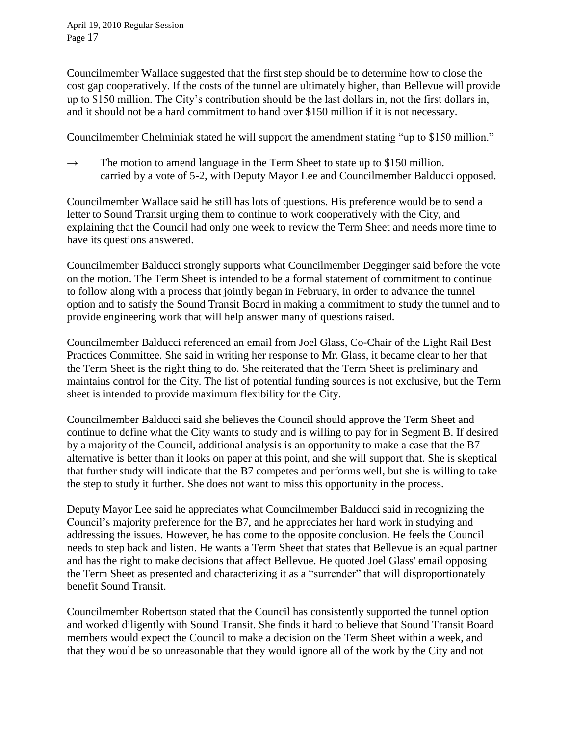Councilmember Wallace suggested that the first step should be to determine how to close the cost gap cooperatively. If the costs of the tunnel are ultimately higher, than Bellevue will provide up to \$150 million. The City's contribution should be the last dollars in, not the first dollars in, and it should not be a hard commitment to hand over \$150 million if it is not necessary.

Councilmember Chelminiak stated he will support the amendment stating "up to \$150 million."

 $\rightarrow$  The motion to amend language in the Term Sheet to state up to \$150 million. carried by a vote of 5-2, with Deputy Mayor Lee and Councilmember Balducci opposed.

Councilmember Wallace said he still has lots of questions. His preference would be to send a letter to Sound Transit urging them to continue to work cooperatively with the City, and explaining that the Council had only one week to review the Term Sheet and needs more time to have its questions answered.

Councilmember Balducci strongly supports what Councilmember Degginger said before the vote on the motion. The Term Sheet is intended to be a formal statement of commitment to continue to follow along with a process that jointly began in February, in order to advance the tunnel option and to satisfy the Sound Transit Board in making a commitment to study the tunnel and to provide engineering work that will help answer many of questions raised.

Councilmember Balducci referenced an email from Joel Glass, Co-Chair of the Light Rail Best Practices Committee. She said in writing her response to Mr. Glass, it became clear to her that the Term Sheet is the right thing to do. She reiterated that the Term Sheet is preliminary and maintains control for the City. The list of potential funding sources is not exclusive, but the Term sheet is intended to provide maximum flexibility for the City.

Councilmember Balducci said she believes the Council should approve the Term Sheet and continue to define what the City wants to study and is willing to pay for in Segment B. If desired by a majority of the Council, additional analysis is an opportunity to make a case that the B7 alternative is better than it looks on paper at this point, and she will support that. She is skeptical that further study will indicate that the B7 competes and performs well, but she is willing to take the step to study it further. She does not want to miss this opportunity in the process.

Deputy Mayor Lee said he appreciates what Councilmember Balducci said in recognizing the Council's majority preference for the B7, and he appreciates her hard work in studying and addressing the issues. However, he has come to the opposite conclusion. He feels the Council needs to step back and listen. He wants a Term Sheet that states that Bellevue is an equal partner and has the right to make decisions that affect Bellevue. He quoted Joel Glass' email opposing the Term Sheet as presented and characterizing it as a "surrender" that will disproportionately benefit Sound Transit.

Councilmember Robertson stated that the Council has consistently supported the tunnel option and worked diligently with Sound Transit. She finds it hard to believe that Sound Transit Board members would expect the Council to make a decision on the Term Sheet within a week, and that they would be so unreasonable that they would ignore all of the work by the City and not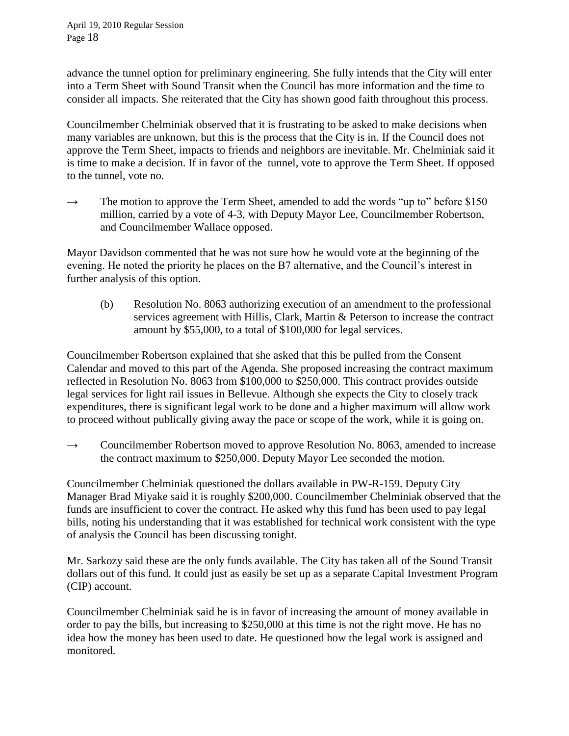advance the tunnel option for preliminary engineering. She fully intends that the City will enter into a Term Sheet with Sound Transit when the Council has more information and the time to consider all impacts. She reiterated that the City has shown good faith throughout this process.

Councilmember Chelminiak observed that it is frustrating to be asked to make decisions when many variables are unknown, but this is the process that the City is in. If the Council does not approve the Term Sheet, impacts to friends and neighbors are inevitable. Mr. Chelminiak said it is time to make a decision. If in favor of the tunnel, vote to approve the Term Sheet. If opposed to the tunnel, vote no.

 $\rightarrow$  The motion to approve the Term Sheet, amended to add the words "up to" before \$150 million, carried by a vote of 4-3, with Deputy Mayor Lee, Councilmember Robertson, and Councilmember Wallace opposed.

Mayor Davidson commented that he was not sure how he would vote at the beginning of the evening. He noted the priority he places on the B7 alternative, and the Council's interest in further analysis of this option.

(b) Resolution No. 8063 authorizing execution of an amendment to the professional services agreement with Hillis, Clark, Martin & Peterson to increase the contract amount by \$55,000, to a total of \$100,000 for legal services.

Councilmember Robertson explained that she asked that this be pulled from the Consent Calendar and moved to this part of the Agenda. She proposed increasing the contract maximum reflected in Resolution No. 8063 from \$100,000 to \$250,000. This contract provides outside legal services for light rail issues in Bellevue. Although she expects the City to closely track expenditures, there is significant legal work to be done and a higher maximum will allow work to proceed without publically giving away the pace or scope of the work, while it is going on.

 $\rightarrow$  Councilmember Robertson moved to approve Resolution No. 8063, amended to increase the contract maximum to \$250,000. Deputy Mayor Lee seconded the motion.

Councilmember Chelminiak questioned the dollars available in PW-R-159. Deputy City Manager Brad Miyake said it is roughly \$200,000. Councilmember Chelminiak observed that the funds are insufficient to cover the contract. He asked why this fund has been used to pay legal bills, noting his understanding that it was established for technical work consistent with the type of analysis the Council has been discussing tonight.

Mr. Sarkozy said these are the only funds available. The City has taken all of the Sound Transit dollars out of this fund. It could just as easily be set up as a separate Capital Investment Program (CIP) account.

Councilmember Chelminiak said he is in favor of increasing the amount of money available in order to pay the bills, but increasing to \$250,000 at this time is not the right move. He has no idea how the money has been used to date. He questioned how the legal work is assigned and monitored.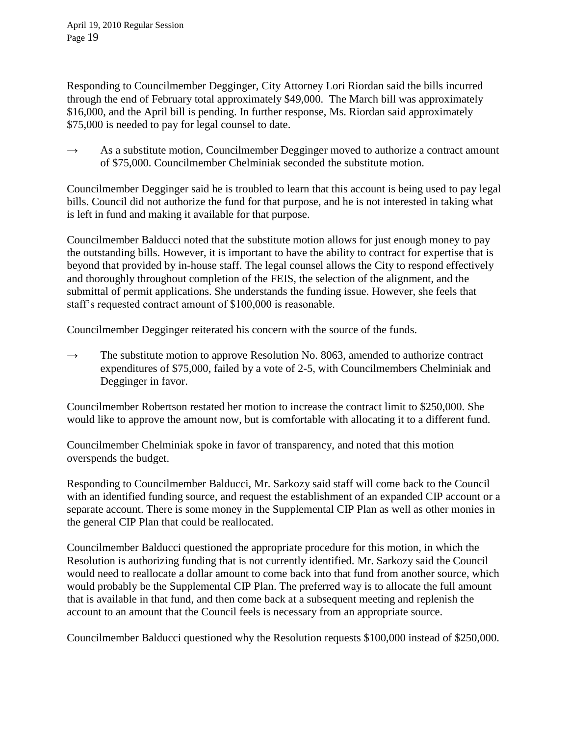Responding to Councilmember Degginger, City Attorney Lori Riordan said the bills incurred through the end of February total approximately \$49,000. The March bill was approximately \$16,000, and the April bill is pending. In further response, Ms. Riordan said approximately \$75,000 is needed to pay for legal counsel to date.

 $\rightarrow$  As a substitute motion, Councilmember Degginger moved to authorize a contract amount of \$75,000. Councilmember Chelminiak seconded the substitute motion.

Councilmember Degginger said he is troubled to learn that this account is being used to pay legal bills. Council did not authorize the fund for that purpose, and he is not interested in taking what is left in fund and making it available for that purpose.

Councilmember Balducci noted that the substitute motion allows for just enough money to pay the outstanding bills. However, it is important to have the ability to contract for expertise that is beyond that provided by in-house staff. The legal counsel allows the City to respond effectively and thoroughly throughout completion of the FEIS, the selection of the alignment, and the submittal of permit applications. She understands the funding issue. However, she feels that staff's requested contract amount of \$100,000 is reasonable.

Councilmember Degginger reiterated his concern with the source of the funds.

 $\rightarrow$  The substitute motion to approve Resolution No. 8063, amended to authorize contract expenditures of \$75,000, failed by a vote of 2-5, with Councilmembers Chelminiak and Degginger in favor.

Councilmember Robertson restated her motion to increase the contract limit to \$250,000. She would like to approve the amount now, but is comfortable with allocating it to a different fund.

Councilmember Chelminiak spoke in favor of transparency, and noted that this motion overspends the budget.

Responding to Councilmember Balducci, Mr. Sarkozy said staff will come back to the Council with an identified funding source, and request the establishment of an expanded CIP account or a separate account. There is some money in the Supplemental CIP Plan as well as other monies in the general CIP Plan that could be reallocated.

Councilmember Balducci questioned the appropriate procedure for this motion, in which the Resolution is authorizing funding that is not currently identified. Mr. Sarkozy said the Council would need to reallocate a dollar amount to come back into that fund from another source, which would probably be the Supplemental CIP Plan. The preferred way is to allocate the full amount that is available in that fund, and then come back at a subsequent meeting and replenish the account to an amount that the Council feels is necessary from an appropriate source.

Councilmember Balducci questioned why the Resolution requests \$100,000 instead of \$250,000.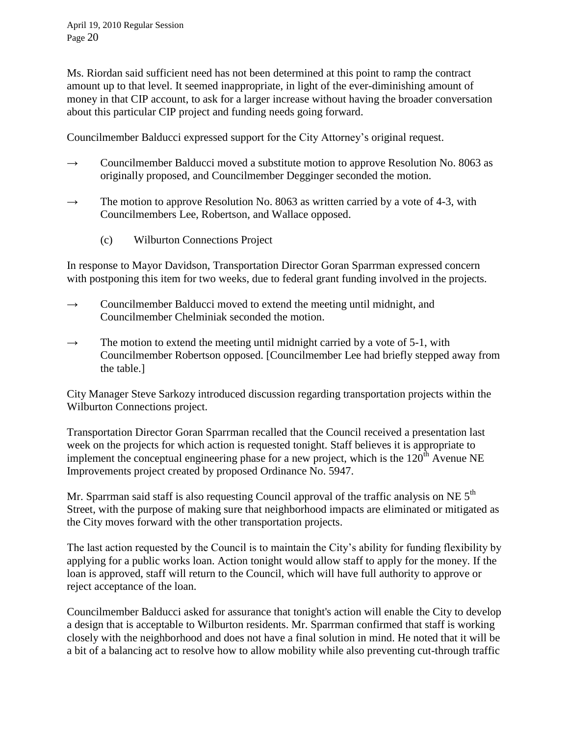Ms. Riordan said sufficient need has not been determined at this point to ramp the contract amount up to that level. It seemed inappropriate, in light of the ever-diminishing amount of money in that CIP account, to ask for a larger increase without having the broader conversation about this particular CIP project and funding needs going forward.

Councilmember Balducci expressed support for the City Attorney's original request.

- $\rightarrow$  Councilmember Balducci moved a substitute motion to approve Resolution No. 8063 as originally proposed, and Councilmember Degginger seconded the motion.
- $\rightarrow$  The motion to approve Resolution No. 8063 as written carried by a vote of 4-3, with Councilmembers Lee, Robertson, and Wallace opposed.
	- (c) Wilburton Connections Project

In response to Mayor Davidson, Transportation Director Goran Sparrman expressed concern with postponing this item for two weeks, due to federal grant funding involved in the projects.

- $\rightarrow$  Councilmember Balducci moved to extend the meeting until midnight, and Councilmember Chelminiak seconded the motion.
- $\rightarrow$  The motion to extend the meeting until midnight carried by a vote of 5-1, with Councilmember Robertson opposed. [Councilmember Lee had briefly stepped away from the table.]

City Manager Steve Sarkozy introduced discussion regarding transportation projects within the Wilburton Connections project.

Transportation Director Goran Sparrman recalled that the Council received a presentation last week on the projects for which action is requested tonight. Staff believes it is appropriate to implement the conceptual engineering phase for a new project, which is the  $120<sup>th</sup>$  Avenue NE Improvements project created by proposed Ordinance No. 5947.

Mr. Sparrman said staff is also requesting Council approval of the traffic analysis on NE  $5<sup>th</sup>$ Street, with the purpose of making sure that neighborhood impacts are eliminated or mitigated as the City moves forward with the other transportation projects.

The last action requested by the Council is to maintain the City's ability for funding flexibility by applying for a public works loan. Action tonight would allow staff to apply for the money. If the loan is approved, staff will return to the Council, which will have full authority to approve or reject acceptance of the loan.

Councilmember Balducci asked for assurance that tonight's action will enable the City to develop a design that is acceptable to Wilburton residents. Mr. Sparrman confirmed that staff is working closely with the neighborhood and does not have a final solution in mind. He noted that it will be a bit of a balancing act to resolve how to allow mobility while also preventing cut-through traffic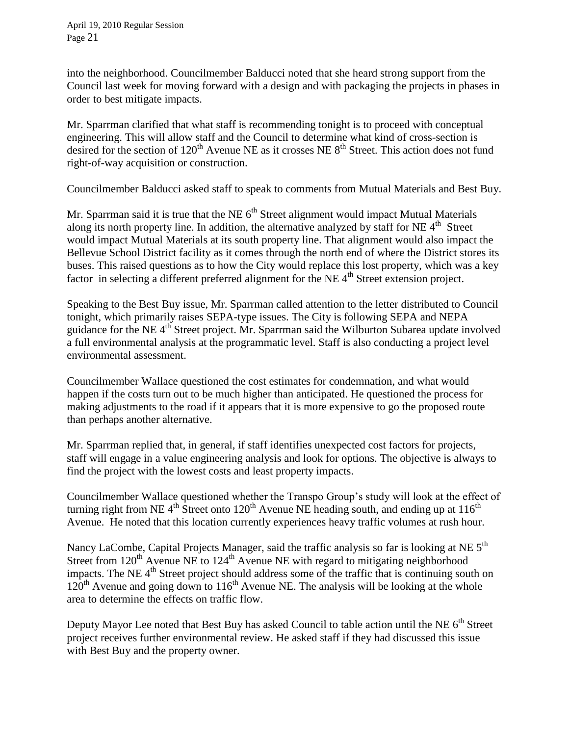into the neighborhood. Councilmember Balducci noted that she heard strong support from the Council last week for moving forward with a design and with packaging the projects in phases in order to best mitigate impacts.

Mr. Sparrman clarified that what staff is recommending tonight is to proceed with conceptual engineering. This will allow staff and the Council to determine what kind of cross-section is desired for the section of  $120<sup>th</sup>$  Avenue NE as it crosses NE  $8<sup>th</sup>$  Street. This action does not fund right-of-way acquisition or construction.

Councilmember Balducci asked staff to speak to comments from Mutual Materials and Best Buy.

Mr. Sparrman said it is true that the NE  $6<sup>th</sup>$  Street alignment would impact Mutual Materials along its north property line. In addition, the alternative analyzed by staff for NE  $4<sup>th</sup>$  Street would impact Mutual Materials at its south property line. That alignment would also impact the Bellevue School District facility as it comes through the north end of where the District stores its buses. This raised questions as to how the City would replace this lost property, which was a key factor in selecting a different preferred alignment for the NE  $4<sup>th</sup>$  Street extension project.

Speaking to the Best Buy issue, Mr. Sparrman called attention to the letter distributed to Council tonight, which primarily raises SEPA-type issues. The City is following SEPA and NEPA guidance for the NE 4<sup>th</sup> Street project. Mr. Sparrman said the Wilburton Subarea update involved a full environmental analysis at the programmatic level. Staff is also conducting a project level environmental assessment.

Councilmember Wallace questioned the cost estimates for condemnation, and what would happen if the costs turn out to be much higher than anticipated. He questioned the process for making adjustments to the road if it appears that it is more expensive to go the proposed route than perhaps another alternative.

Mr. Sparrman replied that, in general, if staff identifies unexpected cost factors for projects, staff will engage in a value engineering analysis and look for options. The objective is always to find the project with the lowest costs and least property impacts.

Councilmember Wallace questioned whether the Transpo Group's study will look at the effect of turning right from NE  $4<sup>th</sup>$  Street onto  $120<sup>th</sup>$  Avenue NE heading south, and ending up at  $116<sup>th</sup>$ Avenue. He noted that this location currently experiences heavy traffic volumes at rush hour.

Nancy LaCombe, Capital Projects Manager, said the traffic analysis so far is looking at NE 5<sup>th</sup> Street from  $120^{th}$  Avenue NE to  $124^{th}$  Avenue NE with regard to mitigating neighborhood impacts. The NE  $4<sup>th</sup>$  Street project should address some of the traffic that is continuing south on  $120<sup>th</sup>$  Avenue and going down to  $116<sup>th</sup>$  Avenue NE. The analysis will be looking at the whole area to determine the effects on traffic flow.

Deputy Mayor Lee noted that Best Buy has asked Council to table action until the NE  $6<sup>th</sup>$  Street project receives further environmental review. He asked staff if they had discussed this issue with Best Buy and the property owner.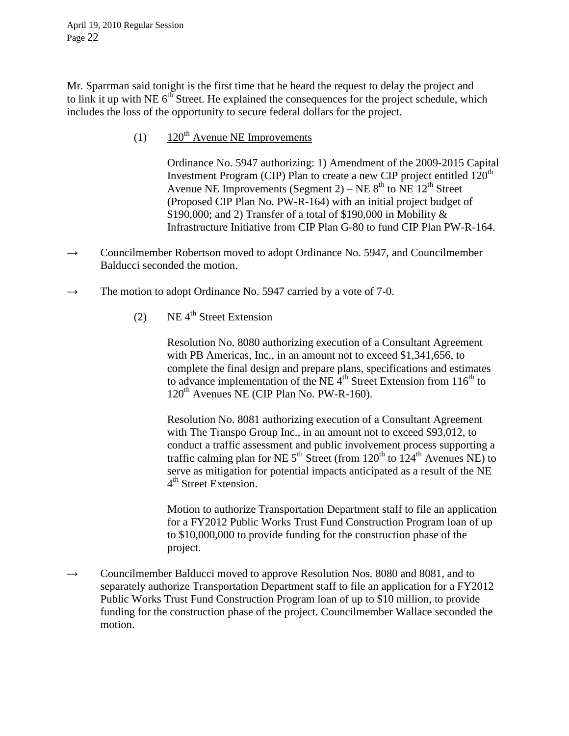Mr. Sparrman said tonight is the first time that he heard the request to delay the project and to link it up with NE  $6<sup>th</sup>$  Street. He explained the consequences for the project schedule, which includes the loss of the opportunity to secure federal dollars for the project.

(1)  $120^{th}$  Avenue NE Improvements

Ordinance No. 5947 authorizing: 1) Amendment of the 2009-2015 Capital Investment Program (CIP) Plan to create a new CIP project entitled  $120<sup>th</sup>$ Avenue NE Improvements (Segment 2) – NE  $8<sup>th</sup>$  to NE 12<sup>th</sup> Street (Proposed CIP Plan No. PW-R-164) with an initial project budget of \$190,000; and 2) Transfer of a total of \$190,000 in Mobility & Infrastructure Initiative from CIP Plan G-80 to fund CIP Plan PW-R-164.

- $\rightarrow$  Councilmember Robertson moved to adopt Ordinance No. 5947, and Councilmember Balducci seconded the motion.
- $\rightarrow$  The motion to adopt Ordinance No. 5947 carried by a vote of 7-0.
	- (2) NE  $4^{th}$  Street Extension

Resolution No. 8080 authorizing execution of a Consultant Agreement with PB Americas, Inc., in an amount not to exceed \$1,341,656, to complete the final design and prepare plans, specifications and estimates to advance implementation of the NE  $4<sup>th</sup>$  Street Extension from 116<sup>th</sup> to  $120<sup>th</sup>$  Avenues NE (CIP Plan No. PW-R-160).

Resolution No. 8081 authorizing execution of a Consultant Agreement with The Transpo Group Inc., in an amount not to exceed \$93,012, to conduct a traffic assessment and public involvement process supporting a traffic calming plan for NE  $5<sup>th</sup>$  Street (from  $120<sup>th</sup>$  to  $124<sup>th</sup>$  Avenues NE) to serve as mitigation for potential impacts anticipated as a result of the NE 4<sup>th</sup> Street Extension.

Motion to authorize Transportation Department staff to file an application for a FY2012 Public Works Trust Fund Construction Program loan of up to \$10,000,000 to provide funding for the construction phase of the project.

 $\rightarrow$  Councilmember Balducci moved to approve Resolution Nos. 8080 and 8081, and to separately authorize Transportation Department staff to file an application for a FY2012 Public Works Trust Fund Construction Program loan of up to \$10 million, to provide funding for the construction phase of the project. Councilmember Wallace seconded the motion.